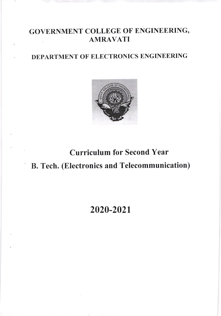## GOVERNMENT COLLEGE OF ENGINEERING, AMRAVATI

## DEPARTMENT OF ELECTRONICS ENGINEERING



# Curriculum for Second Year B. Tech. (Electronics and Telecommunication)

## 2020-2021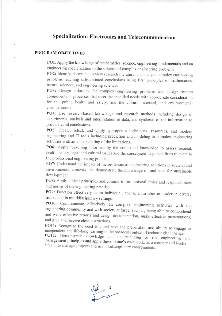### **Specialization: Electronics and Telecommunication**

#### PROGRAM OBJECTIVES

PO1: Apply the knowledge of mathematics, science, engineering fundamentals and an engineering specialization to the solution of complex engineering problems

PO2: Identify, formulate, review research literature, and analyze complex engineering problems reaching substantiated conclusions using first principles of mathematics, natural sciences, and engineering sciences

PO3: Design solutions for complex engineering problems and design system components or processes that meet the specified needs with appropriate consideration for the public health and safety, and the cultural, societal, and environmental considerations.

PO4: Use research-based knowledge and research methods including design of experiments, analysis and interpretation of data, and synthesis of the information to provide valid conclusions.

PO5: Create, select, and apply appropriate techniques, resources, and modern engineering and IT tools including prediction and modeling to complex engineering activities with an understanding of the limitations.

PO6: Apply reasoning informed by the contextual knowledge to assess societal, health, safety, legal and cultural issues and the consequent responsibilities relevant to the professional engineering practice.

PO7: Understand the impact of the professional engineering solutions in societal and environmental contexts, and demonstrate the knowledge of, and need for sustainable development.

PO8: Apply ethical principles and commit to professional ethics and responsibilities and norms of the engineering practice.

PO9: Function effectively as an individual, and as a member or leader in diverse teams, and in multidisciplinary settings.

PO10: Communicate effectively on complex engineering activities with the engineering community and with society at large, such as, being able to comprehend and write effective reports and design documentation, make effective presentations, and give and receive clear instructions.

PO11: Recognize the need for, and have the preparation and ability to engage in independent and life-long learning in the broadest context of technological change.

PO12: Demonstrate knowledge and understanding of the engineering and management principles and apply these to one's own work, as a member and leader in a team, to manage projects and in multidisciplinary environments.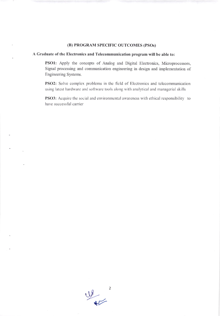#### (B) PROGRAM SPECIFIC OUTCOMES (PSos)

#### A Graduate of the Electronics and Telecommunication program will be able to:

PSOI: Apply the concepts of Analog and Digital Electronics, Microprocessors, Signal processing and communication engineering in design and implementation of Engineering Systems.

PSO2: Solve complex problems in the field of Electronics and telecommunication using latest hardware and software tools along with analytical and managerial skills

PSO3: Acquire the social and environmental awareness with ethical responsibility to have successful carrier

 $\Psi$ .  $\sqrt{2}$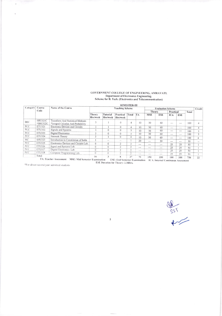# GOVERNMENT COLLEGE OF ENGINEERING, AMRAVATI.<br>Department of Electronics Engineering.<br>Scheme for B. Tech. (Electronics and Telecommunication)

| Category   | Course<br>Code                                                                        | Name of the Course                                                      | <b>SEMESTER-III</b><br><b>Teaching Scheme</b><br><b>Evaluation Scheme</b> |                      |                       |                          |              |            |                 |             |               |           | Credit         |
|------------|---------------------------------------------------------------------------------------|-------------------------------------------------------------------------|---------------------------------------------------------------------------|----------------------|-----------------------|--------------------------|--------------|------------|-----------------|-------------|---------------|-----------|----------------|
|            |                                                                                       |                                                                         |                                                                           |                      |                       |                          |              | Theory     |                 | Practical   |               | Total     |                |
|            |                                                                                       |                                                                         | Theory<br>Hrs/week                                                        | Tutorial<br>Hrs/week | Practical<br>Hrs/week | Total                    | TA           | <b>MSE</b> | <b>ESE</b>      | <b>ICA</b>  | <b>ESE</b>    |           |                |
| <b>BSC</b> | <b>SHU321C</b><br>*SHU322C                                                            | Transform And Statistical Methods<br>*Integral Calculus And Probability |                                                                           |                      | $\theta$              | 4                        | 10           | 30         | 60              | $-$         | ---           | 100       | $\overline{4}$ |
| <b>PCC</b> | ETU321                                                                                | Electronic Devices and Circuits                                         | $\overline{\phantom{a}}$                                                  |                      | $\theta$              | 4                        | 10           | 30         | 60              | <b>HOME</b> | $\cdots$      | 100       | $\overline{4}$ |
| PCC        | <b>ETU322</b>                                                                         | Signals and Systems                                                     |                                                                           | $\Omega$             | $\mathbf{0}$          | 3                        | 10           | 30         | 60              | $***$       | $- - -$       | 100       | 3              |
| PCC        | ETU323                                                                                | Digital Electronics                                                     |                                                                           | $\Omega$             | $\mathbf{0}$          | 3                        | 10           | 30         | 60              | $-$         | $-$           | 100       | 3              |
| PCC        | ETU324                                                                                | Network Theory                                                          | 3                                                                         |                      | $\mathbf{0}$          | 4                        | 10           | 30         | 60              | $***$       |               | 100       | $\overline{4}$ |
| MC         | <b>SHU323</b>                                                                         | Introduction to Constitution of India                                   |                                                                           | <b>Mark</b>          | $-$                   |                          | 20           | ---        | 30              | $- - -$     |               | 50        |                |
| PCC        | ETU325                                                                                | Electronics Devices and Circuits Lab.                                   | $\Omega$                                                                  | $\Omega$             | $\overline{2}$        | $\overline{2}$           | <b>STATE</b> | ---        | $- - -$         | 25          | $- - -$<br>25 | 50        | $\sim$         |
| PCC        | ETU326                                                                                | Signal and Systems Lab.                                                 | $\Omega$                                                                  | $\Omega$             | n                     | $\overline{2}$           | <b>STATE</b> | <b>MAN</b> |                 | 25          | 25            |           |                |
| PCC        | ETU327                                                                                | Digital Electronics Lab.                                                | $\Omega$                                                                  | $\Omega$             | ×                     | $\overline{\phantom{a}}$ | $- - -$      | $\cdots$   | $- - -$<br>$-1$ | 25          | 25            | 50        |                |
| PCC        | <b>ETU328</b>                                                                         | Computer Programming Lab.                                               | $\Omega$                                                                  | $\Omega$             |                       | ٠                        | $- - -$      | $+ +$      |                 | 25          | 25            | 50        |                |
|            | Total<br>$TA \cdot T$ and $A \cdot T$ and $A \cdot T$ and $A \cdot T$ and $A \cdot T$ |                                                                         | 16                                                                        |                      | 8                     | 27                       | 70           | 150        | $***$<br>330    | 100         | 100           | 50<br>750 | 22             |

TA: Teacher Assessment MSE: Mid Semester Examination ESE: End Semester Examination ICA: Internal Continuous Assessment<br>ESE Duration for Theory: 2.30Hrs.

\*For direct second year admitted students

 $\hat{\mathbf{r}}$ 

i,

**SST** 

 $\overline{3}$